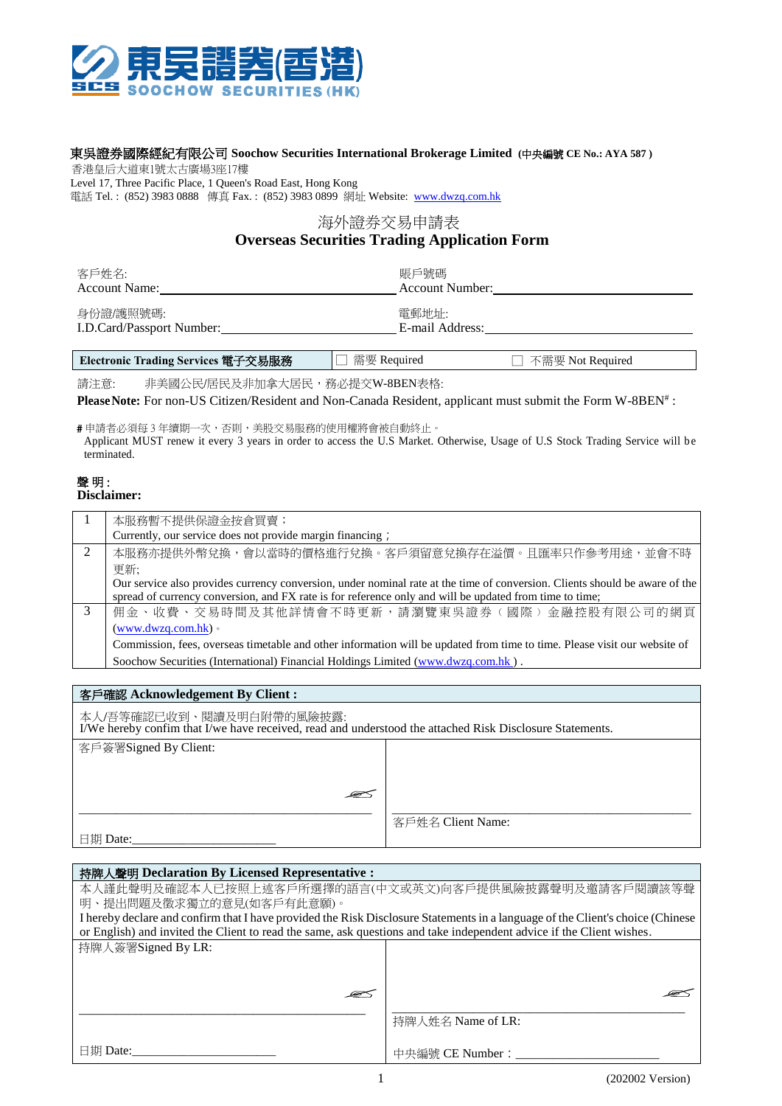

## 東吳證券國際經紀有限公司 **Soochow Securities International Brokerage Limited (**中央編號 **CE No.: AYA 587 )**

香港皇后大道東1號太古廣場3座17樓

Level 17, Three Pacific Place, 1 Queen's Road East, Hong Kong 電話 Tel.: (852) 3983 0888 傳真 Fax.: (852) 3983 0899 網址 Website: [www.dwzq.com.hk](http://www.dwzq.com.hk/)

## 海外證券交易申請表 **Overseas Securities Trading Application Form**

| 客戶姓名:                     | 賬戶號碼            |
|---------------------------|-----------------|
| <b>Account Name:</b>      | Account Number: |
| 身份證/護照號碼:                 | 電郵地址:           |
| I.D.Card/Passport Number: | E-mail Address: |

**Electronic Trading Services** 電子交易服務 □ 需要 Required □ 不需要 Not Required

請注意: 非美國公民/居民及非加拿大居民,務必提交W-8BEN表格:

**PleaseNote:** For non-US Citizen/Resident and Non-Canada Resident, applicant must submit the Form W-8BEN# :

# 申請者必須每 3 年續期一次,否則,美股交易服務的使用權將會被自動終止。 Applicant MUST renew it every 3 years in order to access the U.S Market. Otherwise, Usage of U.S Stock Trading Service will be terminated.

## 聲明: **Disclaimer:**

|   | 本服務暫不提供保證金按倉買賣;                                                                                                             |
|---|-----------------------------------------------------------------------------------------------------------------------------|
|   | Currently, our service does not provide margin financing;                                                                   |
| 2 | 本服務亦提供外幣兌換,會以當時的價格進行兌換。客戶須留意兌換存在溢價。且匯率只作參考用途,並會不時                                                                           |
|   | 更新;                                                                                                                         |
|   | Our service also provides currency conversion, under nominal rate at the time of conversion. Clients should be aware of the |
|   | spread of currency conversion, and FX rate is for reference only and will be updated from time to time;                     |
| 3 | 佣金、收費、交易時間及其他詳情會不時更新,請瀏覽東吳證券(國際)金融控股有限公司的網頁                                                                                 |
|   | $(www.dwza.com.hk)$ .                                                                                                       |
|   | Commission, fees, overseas timetable and other information will be updated from time to time. Please visit our website of   |
|   | Soochow Securities (International) Financial Holdings Limited (www.dwzq.com.hk).                                            |
|   |                                                                                                                             |

| 客戶確認 Acknowledgement By Client:                                                                                                      |                   |  |
|--------------------------------------------------------------------------------------------------------------------------------------|-------------------|--|
| 本人/吾等確認已收到、閱讀及明白附帶的風險披露:<br>I/We hereby confim that I/we have received, read and understood the attached Risk Disclosure Statements. |                   |  |
| 客戶簽署Signed By Client:                                                                                                                |                   |  |
|                                                                                                                                      |                   |  |
|                                                                                                                                      |                   |  |
| œ                                                                                                                                    |                   |  |
|                                                                                                                                      | 客戶姓名 Client Name: |  |
| 日期 Date:                                                                                                                             |                   |  |

| 持牌人聲明 Declaration By Licensed Representative :                                                                                 |                   |  |
|--------------------------------------------------------------------------------------------------------------------------------|-------------------|--|
| 本人謹此聲明及確認本人已按照上述客戶所選擇的語言(中文或英文)向客戶提供風險披露聲明及邀請客戶閱讀該等聲                                                                           |                   |  |
| 明、提出問題及徵求獨立的意見(如客戶有此意願)。                                                                                                       |                   |  |
| I hereby declare and confirm that I have provided the Risk Disclosure Statements in a language of the Client's choice (Chinese |                   |  |
| or English) and invited the Client to read the same, ask questions and take independent advice if the Client wishes.           |                   |  |
| 持牌人簽署Signed By LR:                                                                                                             |                   |  |
|                                                                                                                                |                   |  |
|                                                                                                                                |                   |  |
|                                                                                                                                |                   |  |
|                                                                                                                                | 持牌人姓名 Name of LR: |  |
|                                                                                                                                |                   |  |
| 日期 Date:                                                                                                                       | 中央編號 CE Number:   |  |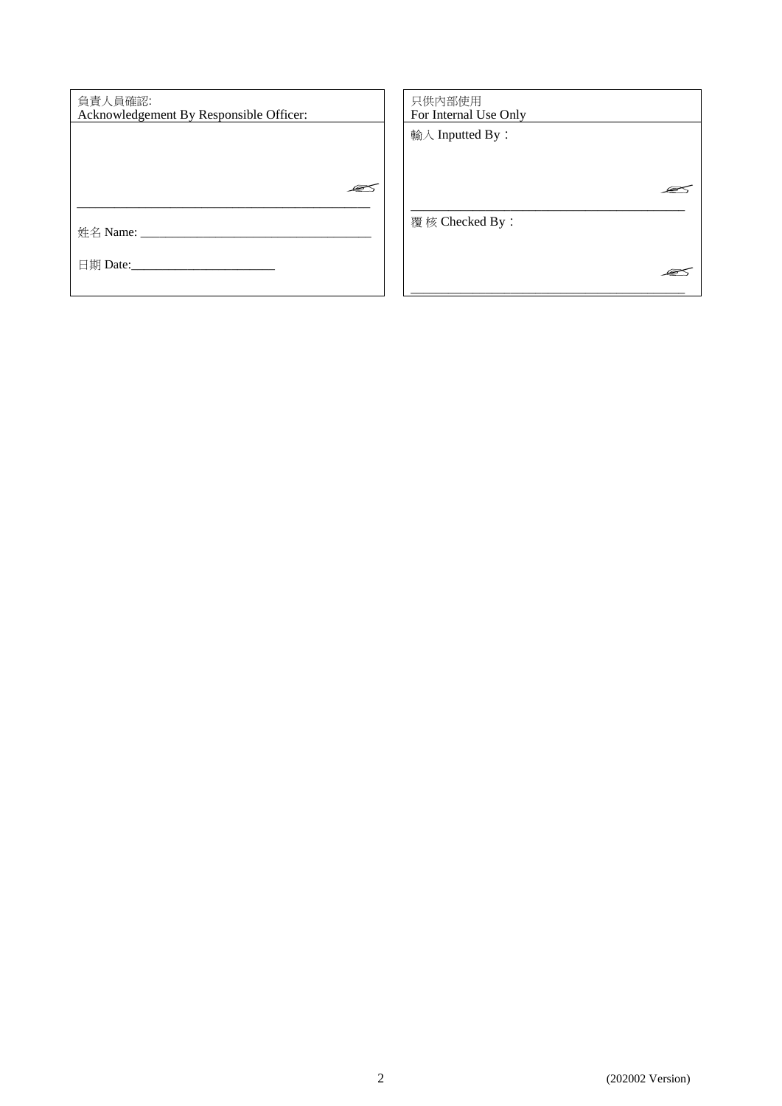| 負責人員確認:                                 | 只供内部使用                |
|-----------------------------------------|-----------------------|
| Acknowledgement By Responsible Officer: | For Internal Use Only |
|                                         |                       |
|                                         | 輸入 Inputted By:       |
|                                         |                       |
|                                         |                       |
|                                         |                       |
|                                         |                       |
| æ                                       |                       |
|                                         |                       |
|                                         |                       |
|                                         | 覆核 Checked By:        |
| 姓名 Name: __________                     |                       |
|                                         |                       |
|                                         |                       |
| 日期 Date:__________                      |                       |
|                                         |                       |
|                                         |                       |
|                                         |                       |
|                                         |                       |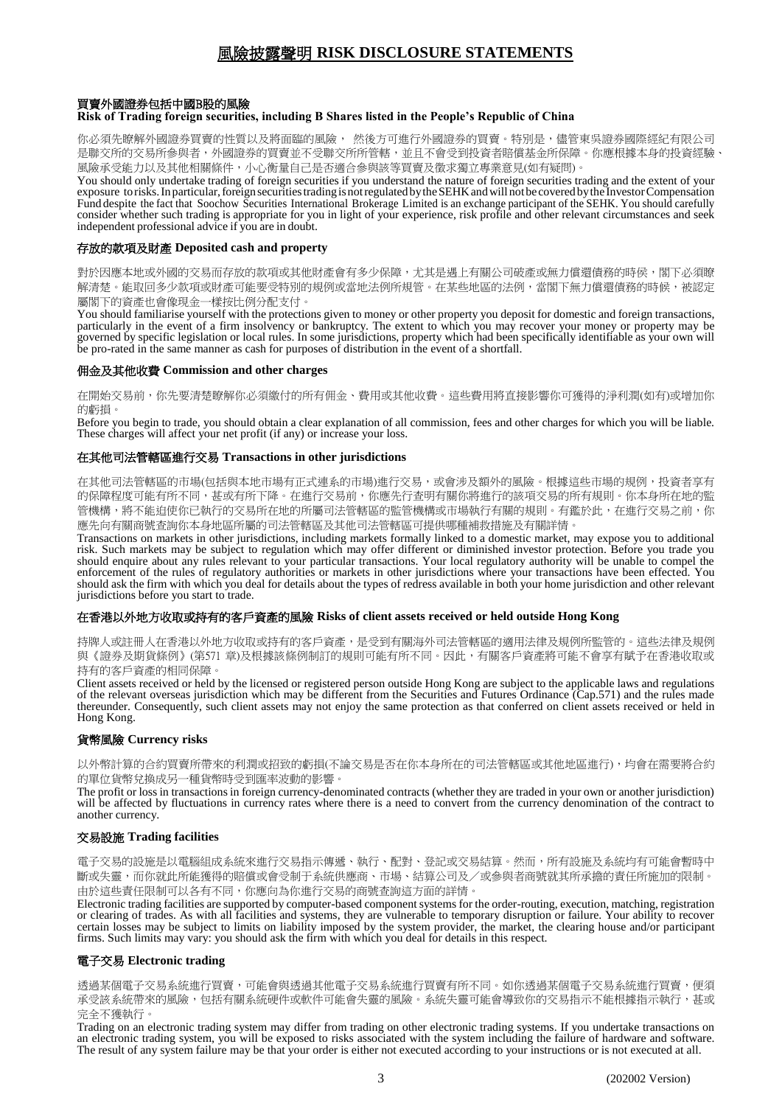# 風險披露聲明 **RISK DISCLOSURE STATEMENTS**

## 買賣外國證券包括中國B股的風險

### **Risk of Trading foreign securities, including B Shares listed in the People's Republic of China**

你必須先瞭解外國證券買賣的性質以及將面臨的風險, 然後方可進行外國證券的買賣。特別是,儘管東吳證券國際經紀有限公司 是聯交所的交易所參與者,外國證券的買賣並不受聯交所所管轄,並且不會受到投資者賠償基金所保障。你應根據本身的投資經驗、 風險承受能力以及其他相關條件,小心衡量自己是否適合參與該等買賣及徵求獨立專業意見(如有疑問)。

You should only undertake trading of foreign securities if you understand the nature of foreign securities trading and the extent of your exposure torisks.In particular,foreign securitiestradingisnotregulated bytheSEHKandwillnotbe covered bythe InvestorCompensation Fund despite the fact that Soochow Securities International Brokerage Limited is an exchange participant of the SEHK. You should carefully consider whether such trading is appropriate for you in light of your experience, risk profile and other relevant circumstances and seek independent professional advice if you are in doubt.

### 存放的款項及財產 **Deposited cash and property**

對於因應本地或外國的交易而存放的款項或其他財產會有多少保障,尤其是遇上有關公司破產或無力償還債務的時侯,閣下必須瞭 解清楚。能取回多少款項或財產可能要受特別的規例或當地法例所規管。在某些地區的法例,當閣下無力償還債務的時候,被認定 屬閣下的資產也會像現金一樣按比例分配支付。

You should familiarise yourself with the protections given to money or other property you deposit for domestic and foreign transactions, particularly in the event of a firm insolvency or bankruptcy. The extent to which you may recover your money or property may be governed by specific legislation or local rules. In some jurisdictions, property which had been specifically identifiable as your own will be pro-rated in the same manner as cash for purposes of distribution in the event of a shortfall.

#### 佣金及其他收費 **Commission and other charges**

在開始交易前,你先要清楚瞭解你必須繳付的所有佣金、費用或其他收費。這些費用將直接影響你可獲得的淨利潤(如有)或增加你 的虧損。

Before you begin to trade, you should obtain a clear explanation of all commission, fees and other charges for which you will be liable. These charges will affect your net profit (if any) or increase your loss.

## 在其他司法管轄區進行交易 **Transactions in other jurisdictions**

在其他司法管轄區的市場(包括與本地市場有正式連系的市場)進行交易,或會涉及額外的風險。根據這些市場的規例,投資者享有 的保障程度可能有所不同,甚或有所下降。在進行交易前,你應先行查明有關你將進行的該項交易的所有規則。你本身所在地的監 管機構,將不能迫使你已執行的交易所在地的所屬司法管轄區的監管機構或市場執行有關的規則。有鑑於此,在進行交易之前,你 應先向有關商號查詢你本身地區所屬的司法管轄區及其他司法管轄區可提供哪種補救措施及有關詳情。

Transactions on markets in other jurisdictions, including markets formally linked to a domestic market, may expose you to additional risk. Such markets may be subject to regulation which may offer different or diminished investor protection. Before you trade you should enquire about any rules relevant to your particular transactions. Your local regulatory authority will be unable to compel the enforcement of the rules of regulatory authorities or markets in other jurisdictions where your transactions have been effected. You should ask the firm with which you deal for details about the types of redress available in both your home jurisdiction and other relevant jurisdictions before you start to trade.

#### 在香港以外地方收取或持有的客戶資產的風險 **Risks of client assets received or held outside Hong Kong**

持牌人或註冊人在香港以外地方收取或持有的客戶資產,是受到有關海外司法管轄區的適用法律及規例所監管的。這些法律及規例 與《證券及期貨條例》(第571 章)及根據該條例制訂的規則可能有所不同。因此,有關客戶資產將可能不會享有賦予在香港收取或 持有的客戶資產的相同保障。

Client assets received or held by the licensed or registered person outside Hong Kong are subject to the applicable laws and regulations of the relevant overseas jurisdiction which may be different from the Securities and Futures Ordinance (Cap.571) and the rules made thereunder. Consequently, such client assets may not enjoy the same protection as that conferred on client assets received or held in Hong Kong.

## 貨幣風險 **Currency risks**

以外幣計算的合約買賣所帶來的利潤或招致的虧損(不論交易是否在你本身所在的司法管轄區或其他地區進行),均會在需要將合約 的單位貨幣兌換成另一種貨幣時受到匯率波動的影響。

The profit or loss in transactions in foreign currency-denominated contracts (whether they are traded in your own or another jurisdiction) will be affected by fluctuations in currency rates where there is a need to convert from the currency denomination of the contract to another currency.

### 交易設施 **Trading facilities**

電子交易的設施是以電腦組成系統來進行交易指示傳遞、執行、配對、登記或交易結算。然而,所有設施及系統均有可能會暫時中 斷或失靈,而你就此所能獲得的賠償或會受制于系統供應商、市場、結算公司及/或參與者商號就其所承擔的責任所施加的限制。 由於這些責任限制可以各有不同,你應向為你進行交易的商號查詢這方面的詳情。

Electronic trading facilities are supported by computer-based component systems for the order-routing, execution, matching, registration or clearing of trades. As with all facilities and systems, they are vulnerable to temporary disruption or failure. Your ability to recover certain losses may be subject to limits on liability imposed by the system provider, the market, the clearing house and/or participant firms. Such limits may vary: you should ask the firm with which you deal for details in this respect.

### 電子交易 **Electronic trading**

透過某個電子交易系統進行買賣,可能會與透過其他電子交易系統進行買賣有所不同。如你透過某個電子交易系統進行買賣,便須 承受該系統帶來的風險,包括有關系統硬件或軟件可能會失靈的風險。系統失靈可能會導致你的交易指示不能根據指示執行,甚或 完全不獲執行。

Trading on an electronic trading system may differ from trading on other electronic trading systems. If you undertake transactions on an electronic trading system, you will be exposed to risks associated with the system including the failure of hardware and software. The result of any system failure may be that your order is either not executed according to your instructions or is not executed at all.